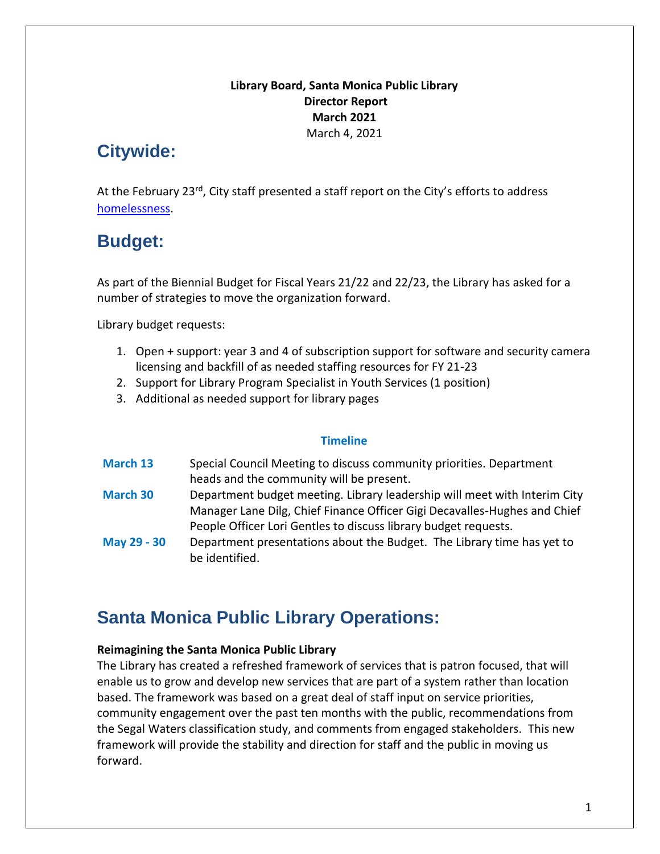## **Library Board, Santa Monica Public Library Director Report March 2021** March 4, 2021

# **Citywide:**

At the February 23<sup>rd</sup>, City staff presented a staff report on the City's efforts to address [homelessness.](http://santamonicacityca.iqm2.com/Citizens/Detail_LegiFile.aspx?Frame=&MeetingID=1261&MediaPosition=&ID=4430&CssClass=)

# **Budget:**

As part of the Biennial Budget for Fiscal Years 21/22 and 22/23, the Library has asked for a number of strategies to move the organization forward.

Library budget requests:

- 1. Open + support: year 3 and 4 of subscription support for software and security camera licensing and backfill of as needed staffing resources for FY 21-23
- 2. Support for Library Program Specialist in Youth Services (1 position)
- 3. Additional as needed support for library pages

## **Timeline**

| <b>March 13</b> | Special Council Meeting to discuss community priorities. Department       |
|-----------------|---------------------------------------------------------------------------|
|                 | heads and the community will be present.                                  |
| <b>March 30</b> | Department budget meeting. Library leadership will meet with Interim City |
|                 | Manager Lane Dilg, Chief Finance Officer Gigi Decavalles-Hughes and Chief |
|                 | People Officer Lori Gentles to discuss library budget requests.           |
| May 29 - 30     | Department presentations about the Budget. The Library time has yet to    |
|                 | be identified.                                                            |

# **Santa Monica Public Library Operations:**

## **Reimagining the Santa Monica Public Library**

The Library has created a refreshed framework of services that is patron focused, that will enable us to grow and develop new services that are part of a system rather than location based. The framework was based on a great deal of staff input on service priorities, community engagement over the past ten months with the public, recommendations from the Segal Waters classification study, and comments from engaged stakeholders. This new framework will provide the stability and direction for staff and the public in moving us forward.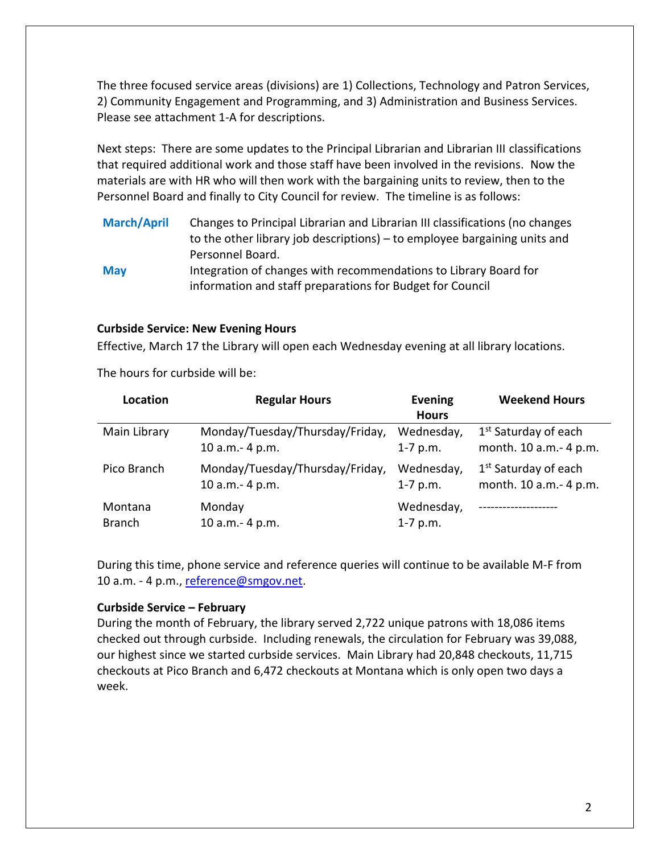The three focused service areas (divisions) are 1) Collections, Technology and Patron Services, 2) Community Engagement and Programming, and 3) Administration and Business Services. Please see attachment 1-A for descriptions.

Next steps: There are some updates to the Principal Librarian and Librarian III classifications that required additional work and those staff have been involved in the revisions. Now the materials are with HR who will then work with the bargaining units to review, then to the Personnel Board and finally to City Council for review. The timeline is as follows:

**March/April** Changes to Principal Librarian and Librarian III classifications (no changes to the other library job descriptions) – to employee bargaining units and Personnel Board. **May** Integration of changes with recommendations to Library Board for information and staff preparations for Budget for Council

#### **Curbside Service: New Evening Hours**

Effective, March 17 the Library will open each Wednesday evening at all library locations.

The hours for curbside will be:

| <b>Location</b> | <b>Regular Hours</b>            | <b>Evening</b><br><b>Hours</b> | <b>Weekend Hours</b>             |
|-----------------|---------------------------------|--------------------------------|----------------------------------|
| Main Library    | Monday/Tuesday/Thursday/Friday, | Wednesday,                     | 1 <sup>st</sup> Saturday of each |
|                 | 10 a.m. - 4 p.m.                | $1-7$ p.m.                     | month. 10 a.m.- 4 p.m.           |
| Pico Branch     | Monday/Tuesday/Thursday/Friday, | Wednesday,                     | 1 <sup>st</sup> Saturday of each |
|                 | 10 a.m. - 4 p.m.                | $1 - 7$ p.m.                   | month. 10 a.m.- 4 p.m.           |
| Montana         | Monday                          | Wednesday,                     | . _ _ _ _ _ _ _ _ _ _ _ _ _ _    |
| <b>Branch</b>   | 10 a.m. - 4 p.m.                | $1 - 7$ p.m.                   |                                  |

During this time, phone service and reference queries will continue to be available M-F from 10 a.m. - 4 p.m., [reference@smgov.net.](mailto:reference@smgov.net)

#### **Curbside Service – February**

During the month of February, the library served 2,722 unique patrons with 18,086 items checked out through curbside. Including renewals, the circulation for February was 39,088, our highest since we started curbside services. Main Library had 20,848 checkouts, 11,715 checkouts at Pico Branch and 6,472 checkouts at Montana which is only open two days a week.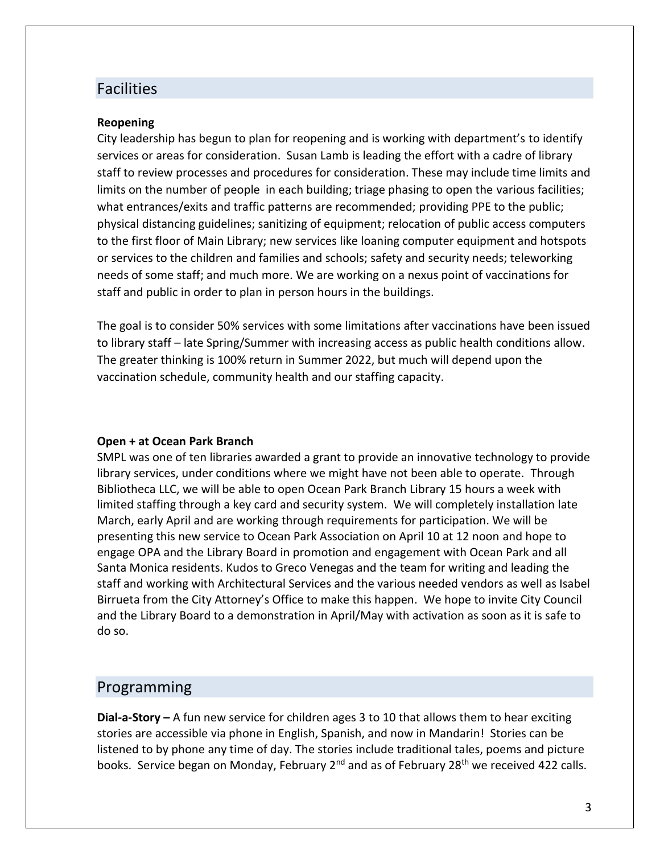## Facilities

#### **Reopening**

City leadership has begun to plan for reopening and is working with department's to identify services or areas for consideration. Susan Lamb is leading the effort with a cadre of library staff to review processes and procedures for consideration. These may include time limits and limits on the number of people in each building; triage phasing to open the various facilities; what entrances/exits and traffic patterns are recommended; providing PPE to the public; physical distancing guidelines; sanitizing of equipment; relocation of public access computers to the first floor of Main Library; new services like loaning computer equipment and hotspots or services to the children and families and schools; safety and security needs; teleworking needs of some staff; and much more. We are working on a nexus point of vaccinations for staff and public in order to plan in person hours in the buildings.

The goal is to consider 50% services with some limitations after vaccinations have been issued to library staff – late Spring/Summer with increasing access as public health conditions allow. The greater thinking is 100% return in Summer 2022, but much will depend upon the vaccination schedule, community health and our staffing capacity.

#### **Open + at Ocean Park Branch**

SMPL was one of ten libraries awarded a grant to provide an innovative technology to provide library services, under conditions where we might have not been able to operate. Through Bibliotheca LLC, we will be able to open Ocean Park Branch Library 15 hours a week with limited staffing through a key card and security system. We will completely installation late March, early April and are working through requirements for participation. We will be presenting this new service to Ocean Park Association on April 10 at 12 noon and hope to engage OPA and the Library Board in promotion and engagement with Ocean Park and all Santa Monica residents. Kudos to Greco Venegas and the team for writing and leading the staff and working with Architectural Services and the various needed vendors as well as Isabel Birrueta from the City Attorney's Office to make this happen. We hope to invite City Council and the Library Board to a demonstration in April/May with activation as soon as it is safe to do so.

## Programming

**Dial-a-Story –** A fun new service for children ages 3 to 10 that allows them to hear exciting stories are accessible via phone in English, Spanish, and now in Mandarin! Stories can be listened to by phone any time of day. The stories include traditional tales, poems and picture books. Service began on Monday, February  $2^{nd}$  and as of February  $28^{th}$  we received 422 calls.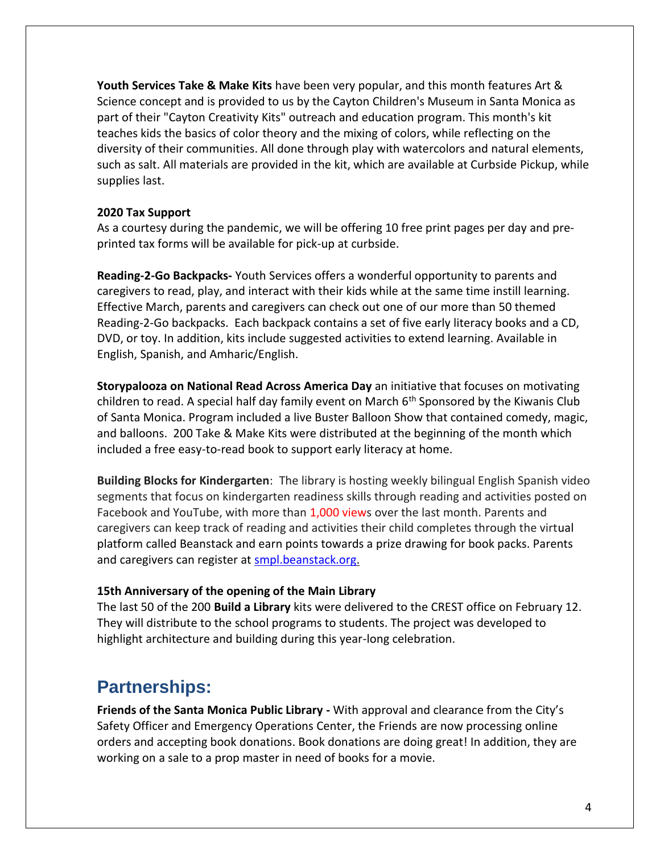**Youth Services Take & Make Kits** have been very popular, and this month features Art & Science concept and is provided to us by the Cayton Children's Museum in Santa Monica as part of their "Cayton Creativity Kits" outreach and education program. This month's kit teaches kids the basics of color theory and the mixing of colors, while reflecting on the diversity of their communities. All done through play with watercolors and natural elements, such as salt. All materials are provided in the kit, which are available at Curbside Pickup, while supplies last.

#### **2020 Tax Support**

As a courtesy during the pandemic, we will be offering 10 free print pages per day and preprinted tax forms will be available for pick-up at curbside.

**Reading-2-Go Backpacks-** Youth Services offers a wonderful opportunity to parents and caregivers to read, play, and interact with their kids while at the same time instill learning. Effective March, parents and caregivers can check out one of our more than 50 themed Reading-2-Go backpacks. Each backpack contains a set of five early literacy books and a CD, DVD, or toy. In addition, kits include suggested activities to extend learning. Available in English, Spanish, and Amharic/English.

**Storypalooza on National Read Across America Day** an initiative that focuses on motivating children to read. A special half day family event on March 6<sup>th</sup> Sponsored by the Kiwanis Club of Santa Monica. Program included a live Buster Balloon Show that contained comedy, magic, and balloons. 200 Take & Make Kits were distributed at the beginning of the month which included a free easy-to-read book to support early literacy at home.

**Building Blocks for Kindergarten**: The library is hosting weekly bilingual English Spanish video segments that focus on kindergarten readiness skills through reading and activities posted on Facebook and YouTube, with more than 1,000 views over the last month. Parents and caregivers can keep track of reading and activities their child completes through the virtual platform called Beanstack and earn points towards a prize drawing for book packs. Parents and caregivers can register at [smpl.beanstack.org.](https://smpl.beanstack.org/reader365)

## **15th Anniversary of the opening of the Main Library**

The last 50 of the 200 **Build a Library** kits were delivered to the CREST office on February 12. They will distribute to the school programs to students. The project was developed to highlight architecture and building during this year-long celebration.

## **Partnerships:**

**Friends of the Santa Monica Public Library -** With approval and clearance from the City's Safety Officer and Emergency Operations Center, the Friends are now processing online orders and accepting book donations. Book donations are doing great! In addition, they are working on a sale to a prop master in need of books for a movie.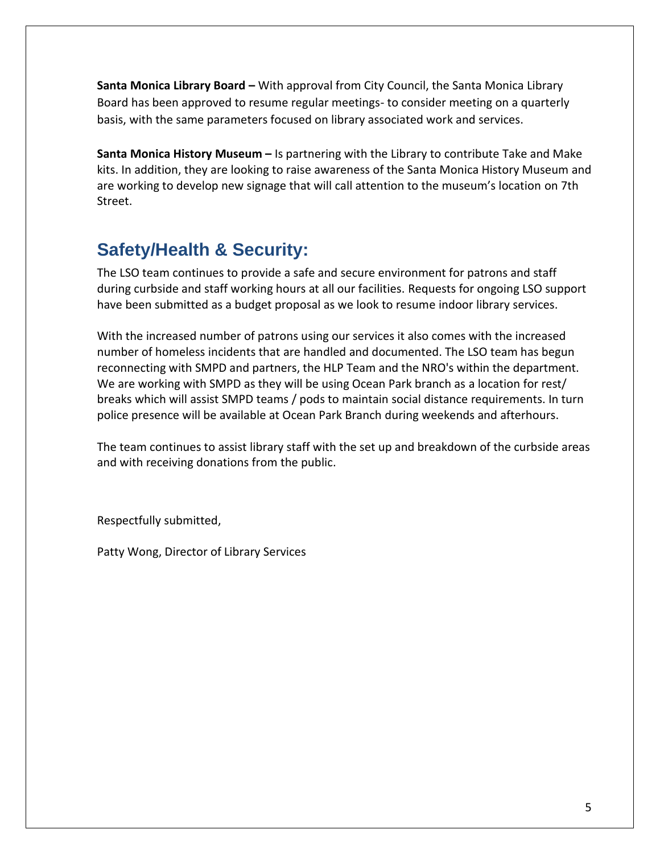**Santa Monica Library Board –** With approval from City Council, the Santa Monica Library Board has been approved to resume regular meetings- to consider meeting on a quarterly basis, with the same parameters focused on library associated work and services.

**Santa Monica History Museum –** Is partnering with the Library to contribute Take and Make kits. In addition, they are looking to raise awareness of the Santa Monica History Museum and are working to develop new signage that will call attention to the museum's location on 7th Street.

# **Safety/Health & Security:**

The LSO team continues to provide a safe and secure environment for patrons and staff during curbside and staff working hours at all our facilities. Requests for ongoing LSO support have been submitted as a budget proposal as we look to resume indoor library services.

With the increased number of patrons using our services it also comes with the increased number of homeless incidents that are handled and documented. The LSO team has begun reconnecting with SMPD and partners, the HLP Team and the NRO's within the department. We are working with SMPD as they will be using Ocean Park branch as a location for rest/ breaks which will assist SMPD teams / pods to maintain social distance requirements. In turn police presence will be available at Ocean Park Branch during weekends and afterhours.

The team continues to assist library staff with the set up and breakdown of the curbside areas and with receiving donations from the public.

Respectfully submitted,

Patty Wong, Director of Library Services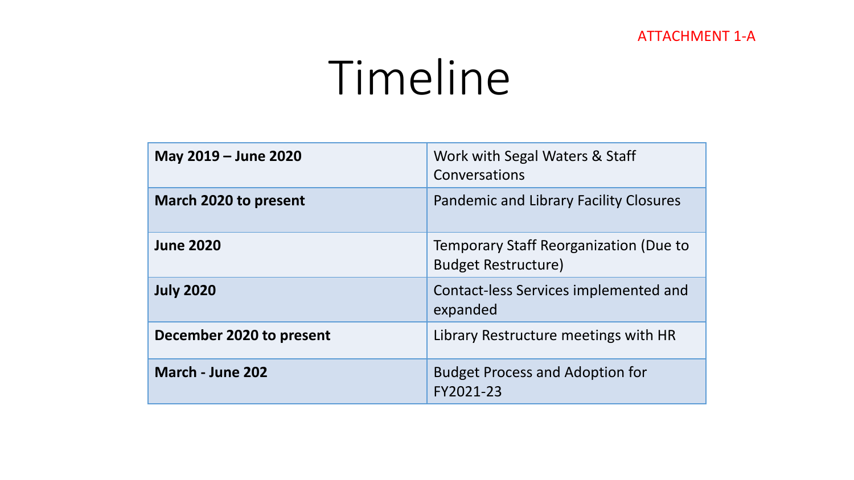## ATTACHMENT 1-A

# Timeline

| May 2019 – June 2020     | Work with Segal Waters & Staff<br>Conversations                      |
|--------------------------|----------------------------------------------------------------------|
| March 2020 to present    | <b>Pandemic and Library Facility Closures</b>                        |
| <b>June 2020</b>         | Temporary Staff Reorganization (Due to<br><b>Budget Restructure)</b> |
| <b>July 2020</b>         | Contact-less Services implemented and<br>expanded                    |
| December 2020 to present | Library Restructure meetings with HR                                 |
| March - June 202         | <b>Budget Process and Adoption for</b><br>FY2021-23                  |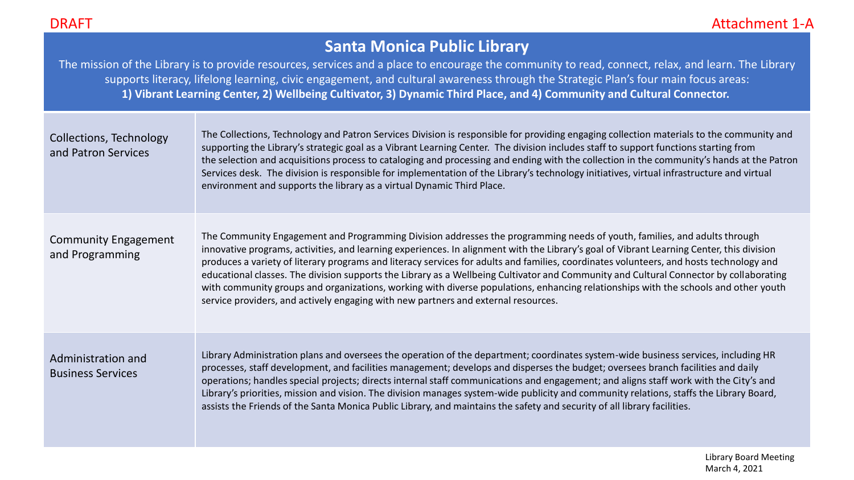# **Santa Monica Public Library**

The mission of the Library is to provide resources, services and a place to encourage the community to read, connect, relax, and learn. The Library supports literacy, lifelong learning, civic engagement, and cultural awareness through the Strategic Plan's four main focus areas: **1) Vibrant Learning Center, 2) Wellbeing Cultivator, 3) Dynamic Third Place, and 4) Community and Cultural Connector.**

| Collections, Technology<br>and Patron Services | The Collections, Technology and Patron Services Division is responsible for providing engaging collection materials to the community and<br>supporting the Library's strategic goal as a Vibrant Learning Center. The division includes staff to support functions starting from<br>the selection and acquisitions process to cataloging and processing and ending with the collection in the community's hands at the Patron<br>Services desk. The division is responsible for implementation of the Library's technology initiatives, virtual infrastructure and virtual<br>environment and supports the library as a virtual Dynamic Third Place.                                                                                                                                    |
|------------------------------------------------|-----------------------------------------------------------------------------------------------------------------------------------------------------------------------------------------------------------------------------------------------------------------------------------------------------------------------------------------------------------------------------------------------------------------------------------------------------------------------------------------------------------------------------------------------------------------------------------------------------------------------------------------------------------------------------------------------------------------------------------------------------------------------------------------|
| <b>Community Engagement</b><br>and Programming | The Community Engagement and Programming Division addresses the programming needs of youth, families, and adults through<br>innovative programs, activities, and learning experiences. In alignment with the Library's goal of Vibrant Learning Center, this division<br>produces a variety of literary programs and literacy services for adults and families, coordinates volunteers, and hosts technology and<br>educational classes. The division supports the Library as a Wellbeing Cultivator and Community and Cultural Connector by collaborating<br>with community groups and organizations, working with diverse populations, enhancing relationships with the schools and other youth<br>service providers, and actively engaging with new partners and external resources. |
| Administration and<br><b>Business Services</b> | Library Administration plans and oversees the operation of the department; coordinates system-wide business services, including HR<br>processes, staff development, and facilities management; develops and disperses the budget; oversees branch facilities and daily<br>operations; handles special projects; directs internal staff communications and engagement; and aligns staff work with the City's and<br>Library's priorities, mission and vision. The division manages system-wide publicity and community relations, staffs the Library Board,<br>assists the Friends of the Santa Monica Public Library, and maintains the safety and security of all library facilities.                                                                                                  |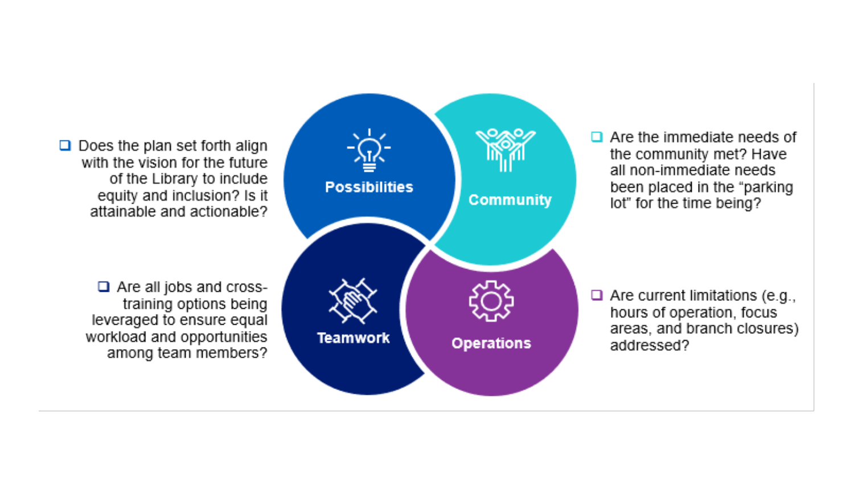$\Box$  Does the plan set forth align with the vision for the future of the Library to include equity and inclusion? Is it attainable and actionable?

> $\Box$  Are all jobs and crosstraining options being leveraged to ensure equal workload and opportunities among team members?



 $\Box$  Are the immediate needs of the community met? Have all non-immediate needs been placed in the "parking lot" for the time being?

 $\Box$  Are current limitations (e.g., hours of operation, focus areas, and branch closures) addressed?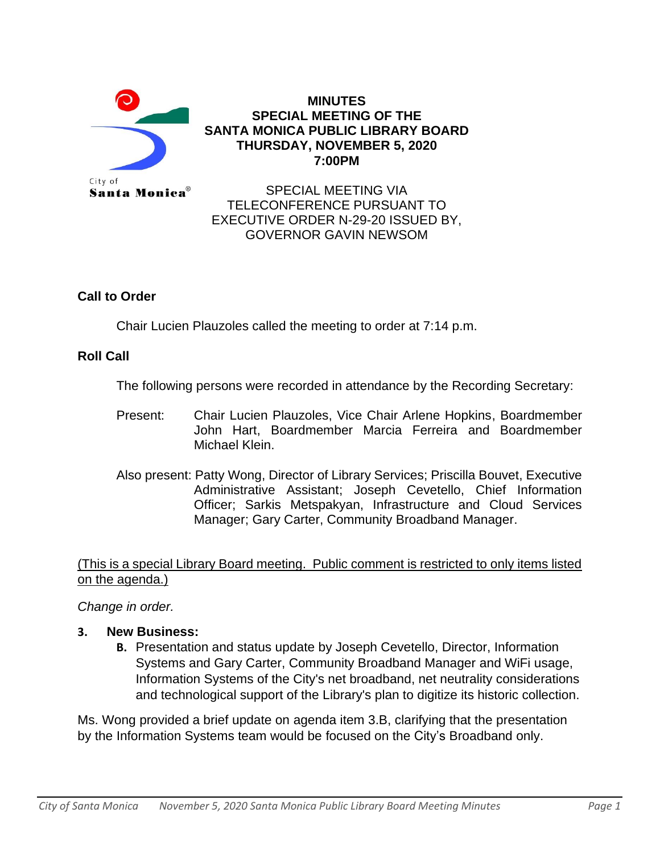

## **MINUTES SPECIAL MEETING OF THE SANTA MONICA PUBLIC LIBRARY BOARD THURSDAY, NOVEMBER 5, 2020 7:00PM**

SPECIAL MEETING VIA TELECONFERENCE PURSUANT TO EXECUTIVE ORDER N-29-20 ISSUED BY, GOVERNOR GAVIN NEWSOM

## **Call to Order**

Chair Lucien Plauzoles called the meeting to order at 7:14 p.m.

## **Roll Call**

The following persons were recorded in attendance by the Recording Secretary:

- Present: Chair Lucien Plauzoles, Vice Chair Arlene Hopkins, Boardmember John Hart, Boardmember Marcia Ferreira and Boardmember Michael Klein.
- Also present: Patty Wong, Director of Library Services; Priscilla Bouvet, Executive Administrative Assistant; Joseph Cevetello, Chief Information Officer; Sarkis Metspakyan, Infrastructure and Cloud Services Manager; Gary Carter, Community Broadband Manager.

(This is a special Library Board meeting. Public comment is restricted to only items listed on the agenda.)

*Change in order.*

- **3. New Business:** 
	- **B.** Presentation and status update by Joseph Cevetello, Director, Information Systems and Gary Carter, Community Broadband Manager and WiFi usage, Information Systems of the City's net broadband, net neutrality considerations and technological support of the Library's plan to digitize its historic collection.

Ms. Wong provided a brief update on agenda item 3.B, clarifying that the presentation by the Information Systems team would be focused on the City's Broadband only.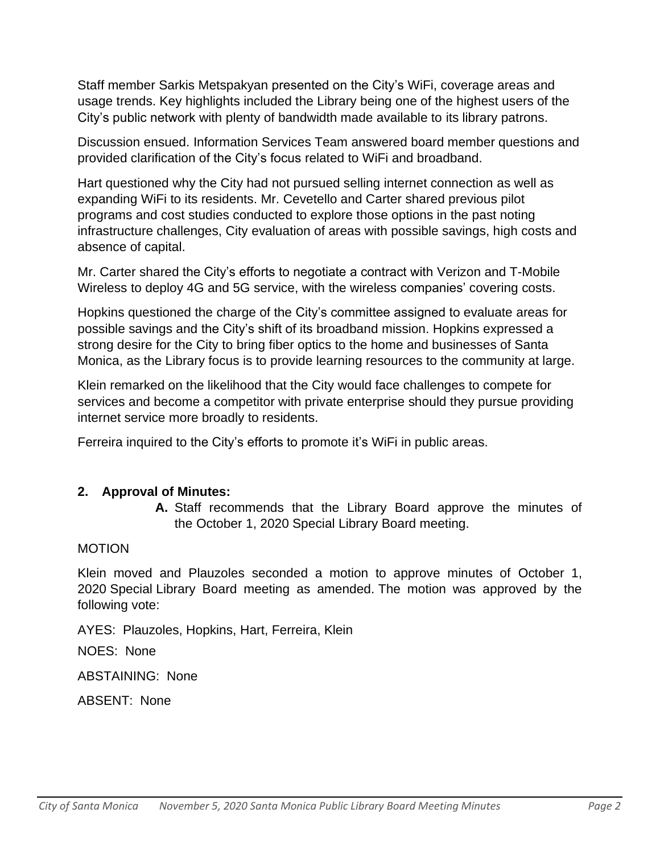Staff member Sarkis Metspakyan presented on the City's WiFi, coverage areas and usage trends. Key highlights included the Library being one of the highest users of the City's public network with plenty of bandwidth made available to its library patrons.

Discussion ensued. Information Services Team answered board member questions and provided clarification of the City's focus related to WiFi and broadband.

Hart questioned why the City had not pursued selling internet connection as well as expanding WiFi to its residents. Mr. Cevetello and Carter shared previous pilot programs and cost studies conducted to explore those options in the past noting infrastructure challenges, City evaluation of areas with possible savings, high costs and absence of capital.

Mr. Carter shared the City's efforts to negotiate a contract with Verizon and T-Mobile Wireless to deploy 4G and 5G service, with the wireless companies' covering costs.

Hopkins questioned the charge of the City's committee assigned to evaluate areas for possible savings and the City's shift of its broadband mission. Hopkins expressed a strong desire for the City to bring fiber optics to the home and businesses of Santa Monica, as the Library focus is to provide learning resources to the community at large.

Klein remarked on the likelihood that the City would face challenges to compete for services and become a competitor with private enterprise should they pursue providing internet service more broadly to residents.

Ferreira inquired to the City's efforts to promote it's WiFi in public areas.

## **2. Approval of Minutes:**

**A.** Staff recommends that the Library Board approve the minutes of the October 1, 2020 Special Library Board meeting.

## MOTION

Klein moved and Plauzoles seconded a motion to approve minutes of October 1, 2020 Special Library Board meeting as amended. The motion was approved by the following vote:

AYES: Plauzoles, Hopkins, Hart, Ferreira, Klein

NOES: None

ABSTAINING: None

ABSENT: None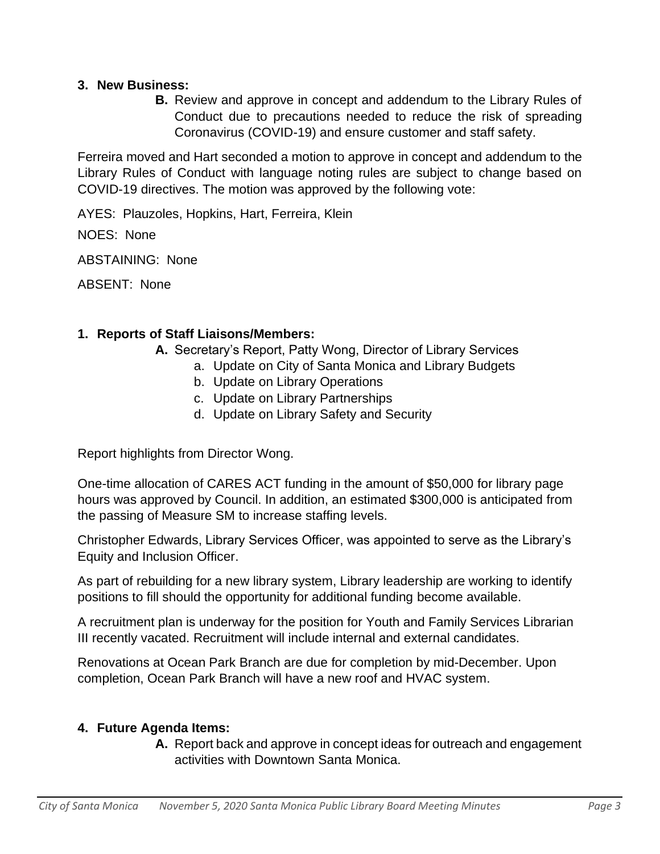## **3. New Business:**

**B.** Review and approve in concept and addendum to the Library Rules of Conduct due to precautions needed to reduce the risk of spreading Coronavirus (COVID-19) and ensure customer and staff safety.

Ferreira moved and Hart seconded a motion to approve in concept and addendum to the Library Rules of Conduct with language noting rules are subject to change based on COVID-19 directives. The motion was approved by the following vote:

AYES: Plauzoles, Hopkins, Hart, Ferreira, Klein

NOES: None

ABSTAINING: None

ABSENT: None

## **1. Reports of Staff Liaisons/Members:**

- **A.** Secretary's Report, Patty Wong, Director of Library Services
	- a. Update on City of Santa Monica and Library Budgets
	- b. Update on Library Operations
	- c. Update on Library Partnerships
	- d. Update on Library Safety and Security

Report highlights from Director Wong.

One-time allocation of CARES ACT funding in the amount of \$50,000 for library page hours was approved by Council. In addition, an estimated \$300,000 is anticipated from the passing of Measure SM to increase staffing levels.

Christopher Edwards, Library Services Officer, was appointed to serve as the Library's Equity and Inclusion Officer.

As part of rebuilding for a new library system, Library leadership are working to identify positions to fill should the opportunity for additional funding become available.

A recruitment plan is underway for the position for Youth and Family Services Librarian III recently vacated. Recruitment will include internal and external candidates.

Renovations at Ocean Park Branch are due for completion by mid-December. Upon completion, Ocean Park Branch will have a new roof and HVAC system.

## **4. Future Agenda Items:**

**A.** Report back and approve in concept ideas for outreach and engagement activities with Downtown Santa Monica.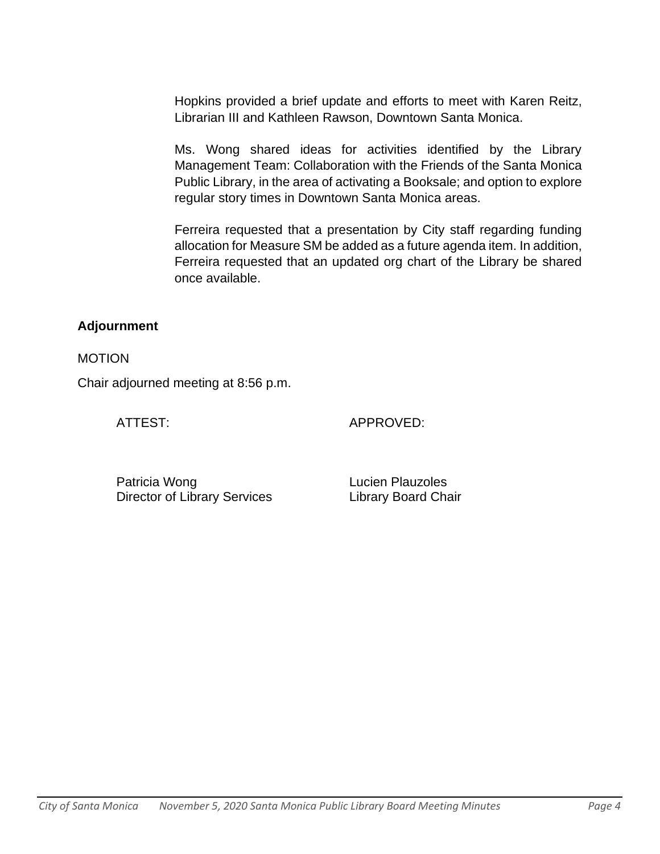Hopkins provided a brief update and efforts to meet with Karen Reitz, Librarian III and Kathleen Rawson, Downtown Santa Monica.

Ms. Wong shared ideas for activities identified by the Library Management Team: Collaboration with the Friends of the Santa Monica Public Library, in the area of activating a Booksale; and option to explore regular story times in Downtown Santa Monica areas.

Ferreira requested that a presentation by City staff regarding funding allocation for Measure SM be added as a future agenda item. In addition, Ferreira requested that an updated org chart of the Library be shared once available.

## **Adjournment**

MOTION

Chair adjourned meeting at 8:56 p.m.

ATTEST: APPROVED:

Patricia Wong **Lucien Plauzoles** Director of Library Services Library Board Chair